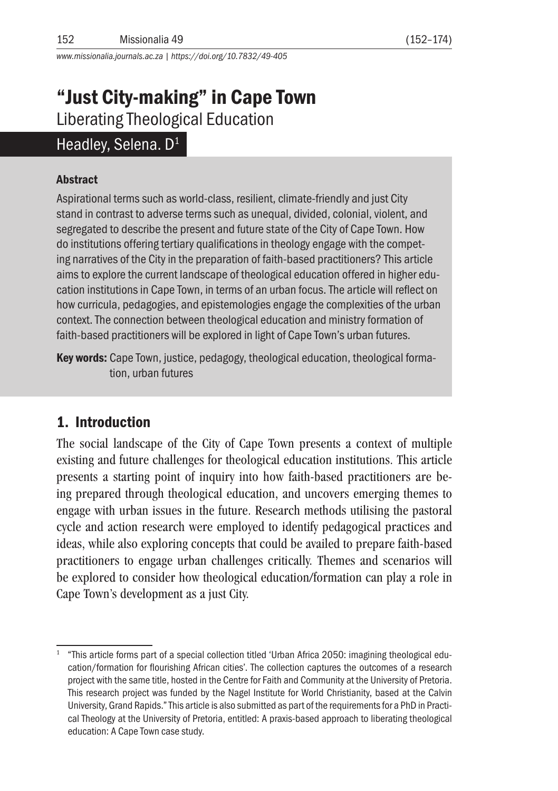*www.missionalia.journals.ac.za | https://doi.org/10.7832/49-405*

# "Just City-making" in Cape Town Liberating Theological Education

# Headley, Selena. D<sup>1</sup>

#### Abstract

Aspirational terms such as world-class, resilient, climate-friendly and just City stand in contrast to adverse terms such as unequal, divided, colonial, violent, and segregated to describe the present and future state of the City of Cape Town. How do institutions offering tertiary qualifications in theology engage with the competing narratives of the City in the preparation of faith-based practitioners? This article aims to explore the current landscape of theological education offered in higher education institutions in Cape Town, in terms of an urban focus. The article will reflect on how curricula, pedagogies, and epistemologies engage the complexities of the urban context. The connection between theological education and ministry formation of faith-based practitioners will be explored in light of Cape Town's urban futures.

Key words: Cape Town, justice, pedagogy, theological education, theological formation, urban futures

# 1. Introduction

The social landscape of the City of Cape Town presents a context of multiple existing and future challenges for theological education institutions. This article presents a starting point of inquiry into how faith-based practitioners are being prepared through theological education, and uncovers emerging themes to engage with urban issues in the future. Research methods utilising the pastoral cycle and action research were employed to identify pedagogical practices and ideas, while also exploring concepts that could be availed to prepare faith-based practitioners to engage urban challenges critically. Themes and scenarios will be explored to consider how theological education/formation can play a role in Cape Town's development as a just City.

<sup>1</sup> "This article forms part of a special collection titled 'Urban Africa 2050: imagining theological education/formation for flourishing African cities'. The collection captures the outcomes of a research project with the same title, hosted in the Centre for Faith and Community at the University of Pretoria. This research project was funded by the Nagel Institute for World Christianity, based at the Calvin University, Grand Rapids." This article is also submitted as part of the requirements for a PhD in Practical Theology at the University of Pretoria, entitled: A praxis-based approach to liberating theological education: A Cape Town case study.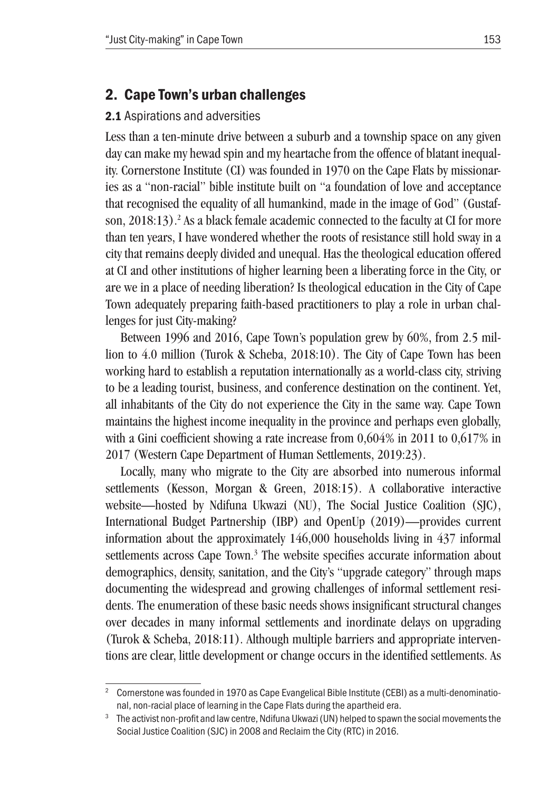# 2. Cape Town's urban challenges

#### 2.1 Aspirations and adversities

Less than a ten-minute drive between a suburb and a township space on any given day can make my hewad spin and my heartache from the offence of blatant inequality. Cornerstone Institute (CI) was founded in 1970 on the Cape Flats by missionaries as a "non-racial" bible institute built on "a foundation of love and acceptance that recognised the equality of all humankind, made in the image of God" (Gustafson, 2018:13).<sup>2</sup> As a black female academic connected to the faculty at CI for more than ten years, I have wondered whether the roots of resistance still hold sway in a city that remains deeply divided and unequal. Has the theological education offered at CI and other institutions of higher learning been a liberating force in the City, or are we in a place of needing liberation? Is theological education in the City of Cape Town adequately preparing faith-based practitioners to play a role in urban challenges for just City-making?

Between 1996 and 2016, Cape Town's population grew by 60%, from 2.5 million to 4.0 million (Turok & Scheba, 2018:10). The City of Cape Town has been working hard to establish a reputation internationally as a world-class city, striving to be a leading tourist, business, and conference destination on the continent. Yet, all inhabitants of the City do not experience the City in the same way. Cape Town maintains the highest income inequality in the province and perhaps even globally, with a Gini coefficient showing a rate increase from 0,604% in 2011 to 0,617% in 2017 (Western Cape Department of Human Settlements, 2019:23).

Locally, many who migrate to the City are absorbed into numerous informal settlements (Kesson, Morgan & Green, 2018:15). A collaborative interactive website—hosted by Ndifuna Ukwazi (NU), The Social Justice Coalition (SJC), International Budget Partnership (IBP) and OpenUp (2019)—provides current information about the approximately 146,000 households living in 437 informal settlements across Cape Town.<sup>3</sup> The website specifies accurate information about demographics, density, sanitation, and the City's "upgrade category" through maps documenting the widespread and growing challenges of informal settlement residents. The enumeration of these basic needs shows insignificant structural changes over decades in many informal settlements and inordinate delays on upgrading (Turok & Scheba, 2018:11). Although multiple barriers and appropriate interventions are clear, little development or change occurs in the identified settlements. As

<sup>2</sup> Cornerstone was founded in 1970 as Cape Evangelical Bible Institute (CEBI) as a multi-denominational, non-racial place of learning in the Cape Flats during the apartheid era.

<sup>&</sup>lt;sup>3</sup> The activist non-profit and law centre, Ndifuna Ukwazi (UN) helped to spawn the social movements the Social Justice Coalition (SJC) in 2008 and Reclaim the City (RTC) in 2016.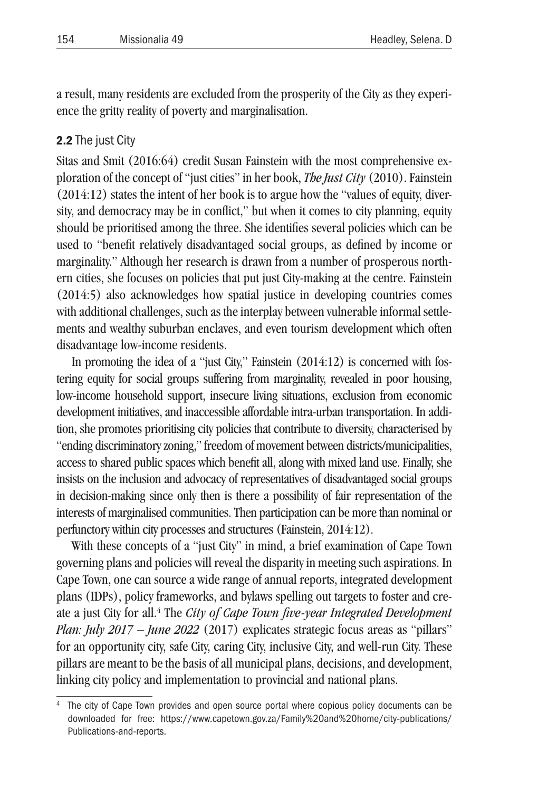a result, many residents are excluded from the prosperity of the City as they experience the gritty reality of poverty and marginalisation.

#### 2.2 The just City

Sitas and Smit (2016:64) credit Susan Fainstein with the most comprehensive exploration of the concept of "just cities" in her book, *The Just City* (2010). Fainstein (2014:12) states the intent of her book is to argue how the "values of equity, diversity, and democracy may be in conflict," but when it comes to city planning, equity should be prioritised among the three. She identifies several policies which can be used to "benefit relatively disadvantaged social groups, as defined by income or marginality." Although her research is drawn from a number of prosperous northern cities, she focuses on policies that put just City-making at the centre. Fainstein (2014:5) also acknowledges how spatial justice in developing countries comes with additional challenges, such as the interplay between vulnerable informal settlements and wealthy suburban enclaves, and even tourism development which often disadvantage low-income residents.

In promoting the idea of a "just City," Fainstein (2014:12) is concerned with fostering equity for social groups suffering from marginality, revealed in poor housing, low-income household support, insecure living situations, exclusion from economic development initiatives, and inaccessible affordable intra-urban transportation. In addition, she promotes prioritising city policies that contribute to diversity, characterised by "ending discriminatory zoning," freedom of movement between districts/municipalities, access to shared public spaces which benefit all, along with mixed land use. Finally, she insists on the inclusion and advocacy of representatives of disadvantaged social groups in decision-making since only then is there a possibility of fair representation of the interests of marginalised communities. Then participation can be more than nominal or perfunctory within city processes and structures (Fainstein, 2014:12).

With these concepts of a "just City" in mind, a brief examination of Cape Town governing plans and policies will reveal the disparity in meeting such aspirations. In Cape Town, one can source a wide range of annual reports, integrated development plans (IDPs), policy frameworks, and bylaws spelling out targets to foster and create a just City for all. 4 The *City of Cape Town five-year Integrated Development Plan: July 2017 – June 2022* (2017) explicates strategic focus areas as "pillars" for an opportunity city, safe City, caring City, inclusive City, and well-run City. These pillars are meant to be the basis of all municipal plans, decisions, and development, linking city policy and implementation to provincial and national plans.

The city of Cape Town provides and open source portal where copious policy documents can be downloaded for free: https://www.capetown.gov.za/Family%20and%20home/city-publications/ Publications-and-reports.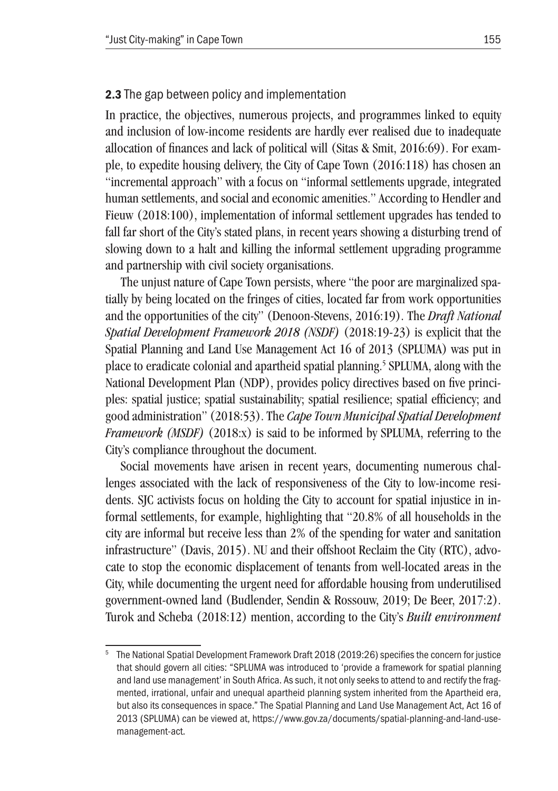#### 2.3 The gap between policy and implementation

In practice, the objectives, numerous projects, and programmes linked to equity and inclusion of low-income residents are hardly ever realised due to inadequate allocation of finances and lack of political will (Sitas & Smit, 2016:69). For example, to expedite housing delivery, the City of Cape Town (2016:118) has chosen an "incremental approach" with a focus on "informal settlements upgrade, integrated human settlements, and social and economic amenities." According to Hendler and Fieuw (2018:100), implementation of informal settlement upgrades has tended to fall far short of the City's stated plans, in recent years showing a disturbing trend of slowing down to a halt and killing the informal settlement upgrading programme and partnership with civil society organisations.

The unjust nature of Cape Town persists, where "the poor are marginalized spatially by being located on the fringes of cities, located far from work opportunities and the opportunities of the city" (Denoon-Stevens, 2016:19). The *Draft National Spatial Development Framework 2018 (NSDF)* (2018:19-23) is explicit that the Spatial Planning and Land Use Management Act 16 of 2013 (SPLUMA) was put in place to eradicate colonial and apartheid spatial planning. 5 SPLUMA, along with the National Development Plan (NDP), provides policy directives based on five principles: spatial justice; spatial sustainability; spatial resilience; spatial efficiency; and good administration" (2018:53). The *Cape Town Municipal Spatial Development Framework (MSDF)* (2018:x) is said to be informed by SPLUMA, referring to the City's compliance throughout the document.

Social movements have arisen in recent years, documenting numerous challenges associated with the lack of responsiveness of the City to low-income residents. SJC activists focus on holding the City to account for spatial injustice in informal settlements, for example, highlighting that "20.8% of all households in the city are informal but receive less than 2% of the spending for water and sanitation infrastructure" (Davis, 2015). NU and their offshoot Reclaim the City (RTC), advocate to stop the economic displacement of tenants from well-located areas in the City, while documenting the urgent need for affordable housing from underutilised government-owned land (Budlender, Sendin & Rossouw, 2019; De Beer, 2017:2). Turok and Scheba (2018:12) mention, according to the City's *Built environment* 

<sup>5</sup> The National Spatial Development Framework Draft 2018 (2019:26) specifies the concern for justice that should govern all cities: "SPLUMA was introduced to 'provide a framework for spatial planning and land use management' in South Africa. As such, it not only seeks to attend to and rectify the fragmented, irrational, unfair and unequal apartheid planning system inherited from the Apartheid era, but also its consequences in space." The Spatial Planning and Land Use Management Act, Act 16 of 2013 (SPLUMA) can be viewed at, https://www.gov.za/documents/spatial-planning-and-land-usemanagement-act.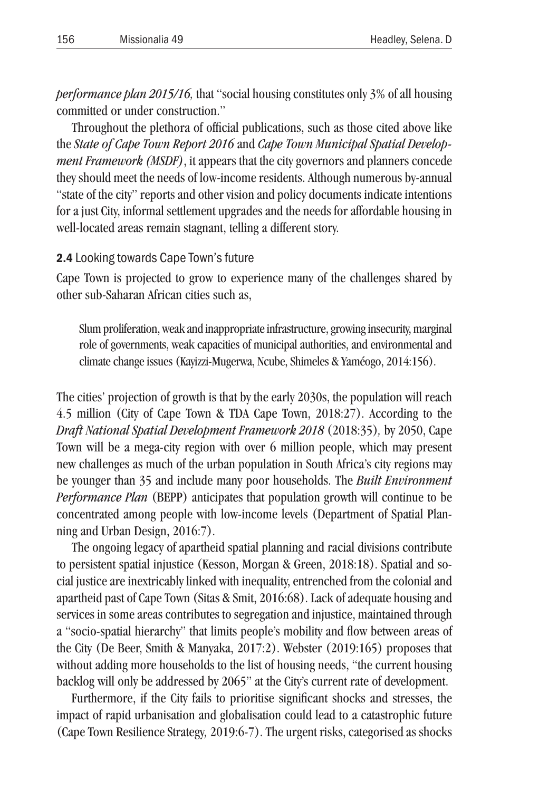*performance plan 2015/16,* that "social housing constitutes only 3% of all housing committed or under construction."

Throughout the plethora of official publications, such as those cited above like the *State of Cape Town Report 2016* and *Cape Town Municipal Spatial Development Framework (MSDF)*, it appears that the city governors and planners concede they should meet the needs of low-income residents. Although numerous by-annual "state of the city" reports and other vision and policy documents indicate intentions for a just City, informal settlement upgrades and the needs for affordable housing in well-located areas remain stagnant, telling a different story.

#### 2.4 Looking towards Cape Town's future

Cape Town is projected to grow to experience many of the challenges shared by other sub-Saharan African cities such as,

Slum proliferation, weak and inappropriate infrastructure, growing insecurity, marginal role of governments, weak capacities of municipal authorities, and environmental and climate change issues (Kayizzi-Mugerwa, Ncube, Shimeles & Yaméogo, 2014:156).

The cities' projection of growth is that by the early 2030s, the population will reach 4.5 million (City of Cape Town & TDA Cape Town, 2018:27). According to the *Draft National Spatial Development Framework 2018* (2018:35)*,* by 2050, Cape Town will be a mega-city region with over 6 million people, which may present new challenges as much of the urban population in South Africa's city regions may be younger than 35 and include many poor households. The *Built Environment Performance Plan* (BEPP) anticipates that population growth will continue to be concentrated among people with low-income levels (Department of Spatial Planning and Urban Design, 2016:7).

The ongoing legacy of apartheid spatial planning and racial divisions contribute to persistent spatial injustice (Kesson, Morgan & Green, 2018:18). Spatial and social justice are inextricably linked with inequality, entrenched from the colonial and apartheid past of Cape Town (Sitas & Smit, 2016:68). Lack of adequate housing and services in some areas contributes to segregation and injustice, maintained through a "socio-spatial hierarchy" that limits people's mobility and flow between areas of the City (De Beer, Smith & Manyaka, 2017:2). Webster (2019:165) proposes that without adding more households to the list of housing needs, "the current housing backlog will only be addressed by 2065" at the City's current rate of development.

Furthermore, if the City fails to prioritise significant shocks and stresses, the impact of rapid urbanisation and globalisation could lead to a catastrophic future (Cape Town Resilience Strategy*,* 2019:6-7). The urgent risks, categorised as shocks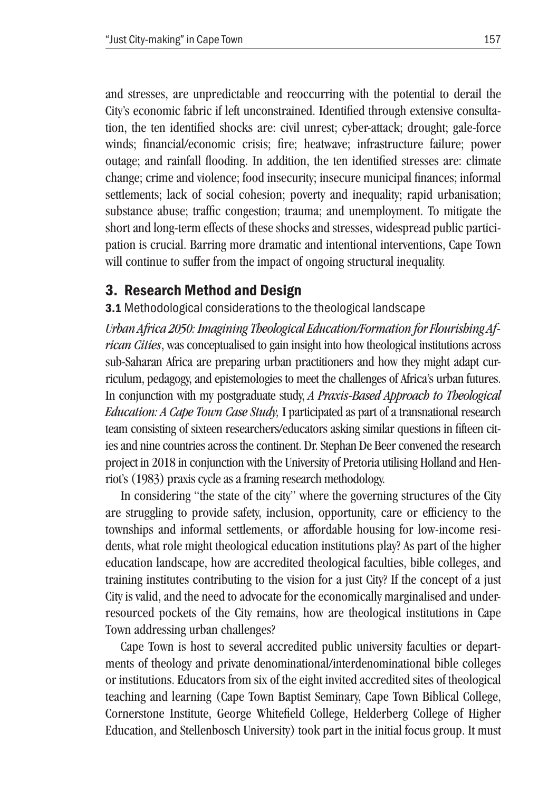and stresses, are unpredictable and reoccurring with the potential to derail the City's economic fabric if left unconstrained. Identified through extensive consultation, the ten identified shocks are: civil unrest; cyber-attack; drought; gale-force winds; financial/economic crisis; fire; heatwave; infrastructure failure; power outage; and rainfall flooding. In addition, the ten identified stresses are: climate change; crime and violence; food insecurity; insecure municipal finances; informal settlements; lack of social cohesion; poverty and inequality; rapid urbanisation; substance abuse; traffic congestion; trauma; and unemployment. To mitigate the short and long-term effects of these shocks and stresses, widespread public participation is crucial. Barring more dramatic and intentional interventions, Cape Town will continue to suffer from the impact of ongoing structural inequality.

### 3. Research Method and Design

#### 3.1 Methodological considerations to the theological landscape

*Urban Africa 2050: Imagining Theological Education/Formation for Flourishing African Cities*, was conceptualised to gain insight into how theological institutions across sub-Saharan Africa are preparing urban practitioners and how they might adapt curriculum, pedagogy, and epistemologies to meet the challenges of Africa's urban futures. In conjunction with my postgraduate study, *A Praxis-Based Approach to Theological Education: A Cape Town Case Study,* I participated as part of a transnational research team consisting of sixteen researchers/educators asking similar questions in fifteen cities and nine countries across the continent. Dr. Stephan De Beer convened the research project in 2018 in conjunction with the University of Pretoria utilising Holland and Henriot's (1983) praxis cycle as a framing research methodology.

In considering "the state of the city" where the governing structures of the City are struggling to provide safety, inclusion, opportunity, care or efficiency to the townships and informal settlements, or affordable housing for low-income residents, what role might theological education institutions play? As part of the higher education landscape, how are accredited theological faculties, bible colleges, and training institutes contributing to the vision for a just City? If the concept of a just City is valid, and the need to advocate for the economically marginalised and underresourced pockets of the City remains, how are theological institutions in Cape Town addressing urban challenges?

Cape Town is host to several accredited public university faculties or departments of theology and private denominational/interdenominational bible colleges or institutions. Educators from six of the eight invited accredited sites of theological teaching and learning (Cape Town Baptist Seminary, Cape Town Biblical College, Cornerstone Institute, George Whitefield College, Helderberg College of Higher Education, and Stellenbosch University) took part in the initial focus group. It must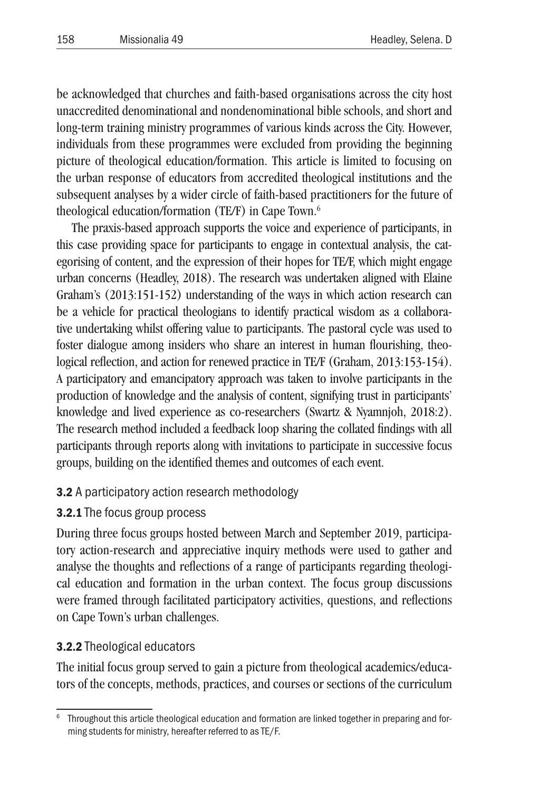be acknowledged that churches and faith-based organisations across the city host unaccredited denominational and nondenominational bible schools, and short and long-term training ministry programmes of various kinds across the City. However, individuals from these programmes were excluded from providing the beginning picture of theological education/formation. This article is limited to focusing on the urban response of educators from accredited theological institutions and the subsequent analyses by a wider circle of faith-based practitioners for the future of theological education/formation (TE/F) in Cape Town. 6

The praxis-based approach supports the voice and experience of participants, in this case providing space for participants to engage in contextual analysis, the categorising of content, and the expression of their hopes for TE/F, which might engage urban concerns (Headley, 2018). The research was undertaken aligned with Elaine Graham's (2013:151-152) understanding of the ways in which action research can be a vehicle for practical theologians to identify practical wisdom as a collaborative undertaking whilst offering value to participants. The pastoral cycle was used to foster dialogue among insiders who share an interest in human flourishing, theological reflection, and action for renewed practice in TE/F (Graham, 2013:153-154). A participatory and emancipatory approach was taken to involve participants in the production of knowledge and the analysis of content, signifying trust in participants' knowledge and lived experience as co-researchers (Swartz & Nyamnjoh, 2018:2). The research method included a feedback loop sharing the collated findings with all participants through reports along with invitations to participate in successive focus groups, building on the identified themes and outcomes of each event.

### 3.2 A participatory action research methodology

### 3.2.1 The focus group process

During three focus groups hosted between March and September 2019, participatory action-research and appreciative inquiry methods were used to gather and analyse the thoughts and reflections of a range of participants regarding theological education and formation in the urban context. The focus group discussions were framed through facilitated participatory activities, questions, and reflections on Cape Town's urban challenges.

### 3.2.2 Theological educators

The initial focus group served to gain a picture from theological academics/educators of the concepts, methods, practices, and courses or sections of the curriculum

Throughout this article theological education and formation are linked together in preparing and forming students for ministry, hereafter referred to as TE/F.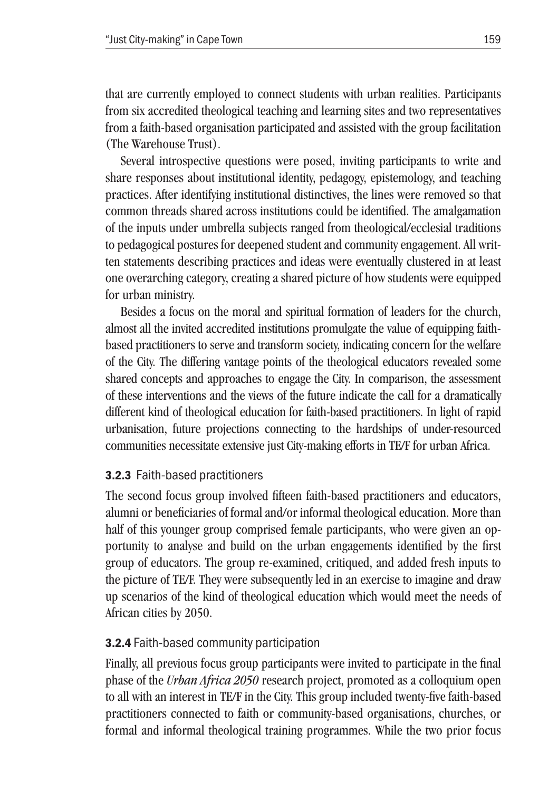that are currently employed to connect students with urban realities. Participants from six accredited theological teaching and learning sites and two representatives from a faith-based organisation participated and assisted with the group facilitation (The Warehouse Trust).

Several introspective questions were posed, inviting participants to write and share responses about institutional identity, pedagogy, epistemology, and teaching practices. After identifying institutional distinctives, the lines were removed so that common threads shared across institutions could be identified. The amalgamation of the inputs under umbrella subjects ranged from theological/ecclesial traditions to pedagogical postures for deepened student and community engagement. All written statements describing practices and ideas were eventually clustered in at least one overarching category, creating a shared picture of how students were equipped for urban ministry.

Besides a focus on the moral and spiritual formation of leaders for the church, almost all the invited accredited institutions promulgate the value of equipping faithbased practitioners to serve and transform society, indicating concern for the welfare of the City. The differing vantage points of the theological educators revealed some shared concepts and approaches to engage the City. In comparison, the assessment of these interventions and the views of the future indicate the call for a dramatically different kind of theological education for faith-based practitioners. In light of rapid urbanisation, future projections connecting to the hardships of under-resourced communities necessitate extensive just City-making efforts in TE/F for urban Africa.

### 3.2.3 Faith-based practitioners

The second focus group involved fifteen faith-based practitioners and educators, alumni or beneficiaries of formal and/or informal theological education. More than half of this younger group comprised female participants, who were given an opportunity to analyse and build on the urban engagements identified by the first group of educators. The group re-examined, critiqued, and added fresh inputs to the picture of TE/F. They were subsequently led in an exercise to imagine and draw up scenarios of the kind of theological education which would meet the needs of African cities by 2050.

### 3.2.4 Faith-based community participation

Finally, all previous focus group participants were invited to participate in the final phase of the *Urban Africa 2050* research project, promoted as a colloquium open to all with an interest in TE/F in the City. This group included twenty-five faith-based practitioners connected to faith or community-based organisations, churches, or formal and informal theological training programmes. While the two prior focus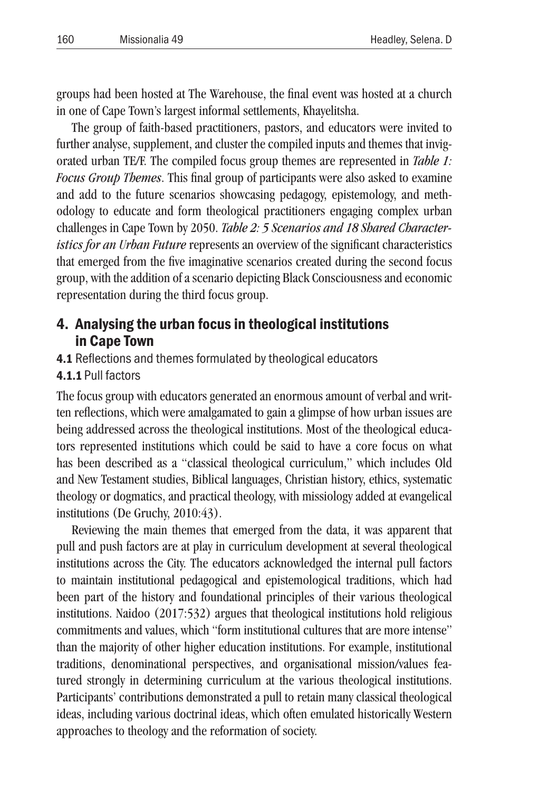groups had been hosted at The Warehouse, the final event was hosted at a church in one of Cape Town's largest informal settlements, Khayelitsha.

The group of faith-based practitioners, pastors, and educators were invited to further analyse, supplement, and cluster the compiled inputs and themes that invigorated urban TE/F. The compiled focus group themes are represented in *Table 1: Focus Group Themes*. This final group of participants were also asked to examine and add to the future scenarios showcasing pedagogy, epistemology, and methodology to educate and form theological practitioners engaging complex urban challenges in Cape Town by 2050. *Table 2: 5 Scenarios and 18 Shared Characteristics for an Urban Future* represents an overview of the significant characteristics that emerged from the five imaginative scenarios created during the second focus group, with the addition of a scenario depicting Black Consciousness and economic representation during the third focus group.

# 4. Analysing the urban focus in theological institutions in Cape Town

- 4.1 Reflections and themes formulated by theological educators
- 4.1.1 Pull factors

The focus group with educators generated an enormous amount of verbal and written reflections, which were amalgamated to gain a glimpse of how urban issues are being addressed across the theological institutions. Most of the theological educators represented institutions which could be said to have a core focus on what has been described as a "classical theological curriculum," which includes Old and New Testament studies, Biblical languages, Christian history, ethics, systematic theology or dogmatics, and practical theology, with missiology added at evangelical institutions (De Gruchy, 2010:43).

Reviewing the main themes that emerged from the data, it was apparent that pull and push factors are at play in curriculum development at several theological institutions across the City. The educators acknowledged the internal pull factors to maintain institutional pedagogical and epistemological traditions, which had been part of the history and foundational principles of their various theological institutions. Naidoo (2017:532) argues that theological institutions hold religious commitments and values, which "form institutional cultures that are more intense" than the majority of other higher education institutions. For example, institutional traditions, denominational perspectives, and organisational mission/values featured strongly in determining curriculum at the various theological institutions. Participants' contributions demonstrated a pull to retain many classical theological ideas, including various doctrinal ideas, which often emulated historically Western approaches to theology and the reformation of society.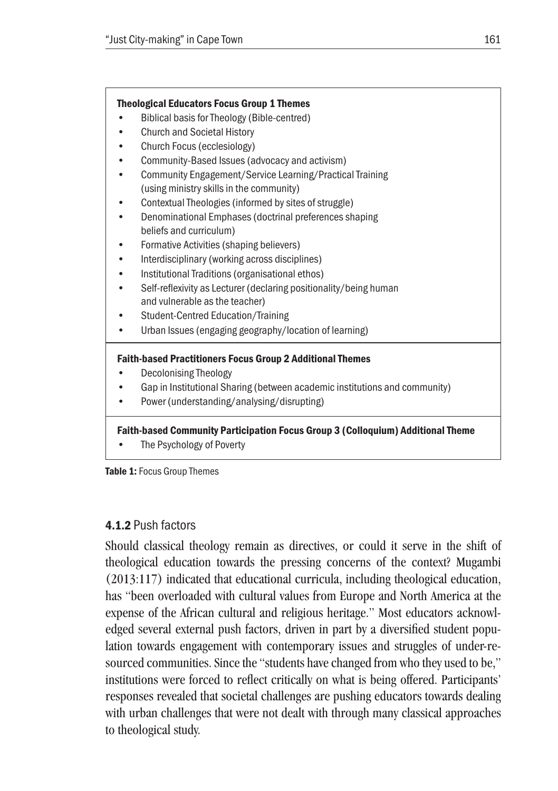

Table 1: Focus Group Themes

#### 4.1.2 Push factors

Should classical theology remain as directives, or could it serve in the shift of theological education towards the pressing concerns of the context? Mugambi (2013:117) indicated that educational curricula, including theological education, has "been overloaded with cultural values from Europe and North America at the expense of the African cultural and religious heritage." Most educators acknowledged several external push factors, driven in part by a diversified student population towards engagement with contemporary issues and struggles of under-resourced communities. Since the "students have changed from who they used to be," institutions were forced to reflect critically on what is being offered. Participants' responses revealed that societal challenges are pushing educators towards dealing with urban challenges that were not dealt with through many classical approaches to theological study.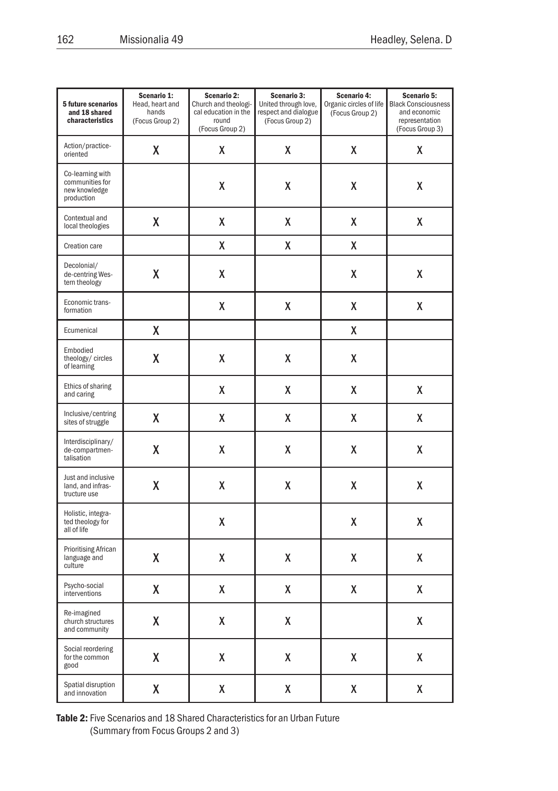| 5 future scenarios<br>and 18 shared<br>characteristics             | Scenario 1:<br>Head, heart and<br>hands<br>(Focus Group 2) | Scenario 2:<br>Church and theologi-<br>cal education in the<br>round<br>(Focus Group 2) | Scenario 3:<br>United through love,<br>respect and dialogue<br>(Focus Group 2) | Scenario 4:<br>Organic circles of life<br>(Focus Group 2) | Scenario 5:<br><b>Black Consciousness</b><br>and economic<br>representation<br>(Focus Group 3) |
|--------------------------------------------------------------------|------------------------------------------------------------|-----------------------------------------------------------------------------------------|--------------------------------------------------------------------------------|-----------------------------------------------------------|------------------------------------------------------------------------------------------------|
| Action/practice-<br>oriented                                       | X                                                          | χ                                                                                       | χ                                                                              | Χ                                                         | χ                                                                                              |
| Co-learning with<br>communities for<br>new knowledge<br>production |                                                            | Χ                                                                                       | χ                                                                              | Χ                                                         | χ                                                                                              |
| Contextual and<br>local theologies                                 | X                                                          | χ                                                                                       | X                                                                              | X                                                         | χ                                                                                              |
| Creation care                                                      |                                                            | χ                                                                                       | χ                                                                              | χ                                                         |                                                                                                |
| Decolonial/<br>de-centring Wes-<br>tern theology                   | Χ                                                          | χ                                                                                       |                                                                                | χ                                                         | χ                                                                                              |
| Economic trans-<br>formation                                       |                                                            | χ                                                                                       | χ                                                                              | X                                                         | χ                                                                                              |
| Ecumenical                                                         | Χ                                                          |                                                                                         |                                                                                | χ                                                         |                                                                                                |
| Embodied<br>theology/ circles<br>of learning                       | X                                                          | χ                                                                                       | χ                                                                              | Χ                                                         |                                                                                                |
| Ethics of sharing<br>and caring                                    |                                                            | χ                                                                                       | χ                                                                              | χ                                                         | χ                                                                                              |
| Inclusive/centring<br>sites of struggle                            | Χ                                                          | χ                                                                                       | χ                                                                              | Χ                                                         | χ                                                                                              |
| Interdisciplinary/<br>de-compartmen-<br>talisation                 | Χ                                                          | Χ                                                                                       | χ                                                                              | χ                                                         | χ                                                                                              |
| Just and inclusive<br>land, and infras-<br>tructure use            | Χ                                                          | Χ                                                                                       | Χ                                                                              | Χ                                                         | X                                                                                              |
| Holistic, integra-<br>ted theology for<br>all of life              |                                                            | χ                                                                                       |                                                                                | х                                                         | χ                                                                                              |
| <b>Prioritising African</b><br>language and<br>culture             | X                                                          | χ                                                                                       | χ                                                                              | X                                                         | χ                                                                                              |
| Psycho-social<br>interventions                                     | χ                                                          | X                                                                                       | χ                                                                              | χ                                                         | χ                                                                                              |
| Re-imagined<br>church structures<br>and community                  | Χ                                                          | χ                                                                                       | χ                                                                              |                                                           | χ                                                                                              |
| Social reordering<br>for the common<br>good                        | X                                                          | χ                                                                                       | χ                                                                              | χ                                                         | χ                                                                                              |
| Spatial disruption<br>and innovation                               | X                                                          | χ                                                                                       | χ                                                                              | X                                                         | χ                                                                                              |

Table 2: Five Scenarios and 18 Shared Characteristics for an Urban Future (Summary from Focus Groups 2 and 3)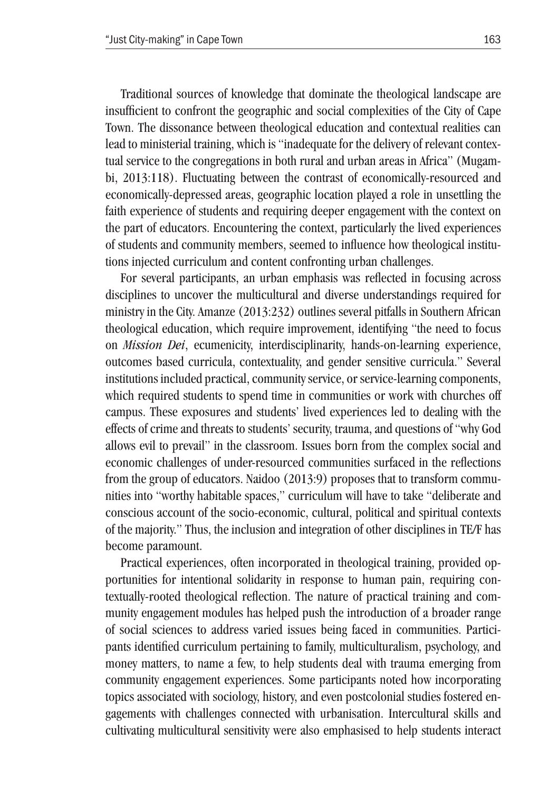Traditional sources of knowledge that dominate the theological landscape are insufficient to confront the geographic and social complexities of the City of Cape Town. The dissonance between theological education and contextual realities can lead to ministerial training, which is "inadequate for the delivery of relevant contextual service to the congregations in both rural and urban areas in Africa" (Mugambi, 2013:118). Fluctuating between the contrast of economically-resourced and economically-depressed areas, geographic location played a role in unsettling the faith experience of students and requiring deeper engagement with the context on the part of educators. Encountering the context, particularly the lived experiences of students and community members, seemed to influence how theological institutions injected curriculum and content confronting urban challenges.

For several participants, an urban emphasis was reflected in focusing across disciplines to uncover the multicultural and diverse understandings required for ministry in the City. Amanze (2013:232) outlines several pitfalls in Southern African theological education, which require improvement, identifying "the need to focus on *Mission Dei*, ecumenicity, interdisciplinarity, hands-on-learning experience, outcomes based curricula, contextuality, and gender sensitive curricula." Several institutions included practical, community service, or service-learning components, which required students to spend time in communities or work with churches off campus. These exposures and students' lived experiences led to dealing with the effects of crime and threats to students' security, trauma, and questions of "why God allows evil to prevail" in the classroom. Issues born from the complex social and economic challenges of under-resourced communities surfaced in the reflections from the group of educators. Naidoo (2013:9) proposes that to transform communities into "worthy habitable spaces," curriculum will have to take "deliberate and conscious account of the socio-economic, cultural, political and spiritual contexts of the majority." Thus, the inclusion and integration of other disciplines in TE/F has become paramount.

Practical experiences, often incorporated in theological training, provided opportunities for intentional solidarity in response to human pain, requiring contextually-rooted theological reflection. The nature of practical training and community engagement modules has helped push the introduction of a broader range of social sciences to address varied issues being faced in communities. Participants identified curriculum pertaining to family, multiculturalism, psychology, and money matters, to name a few, to help students deal with trauma emerging from community engagement experiences. Some participants noted how incorporating topics associated with sociology, history, and even postcolonial studies fostered engagements with challenges connected with urbanisation. Intercultural skills and cultivating multicultural sensitivity were also emphasised to help students interact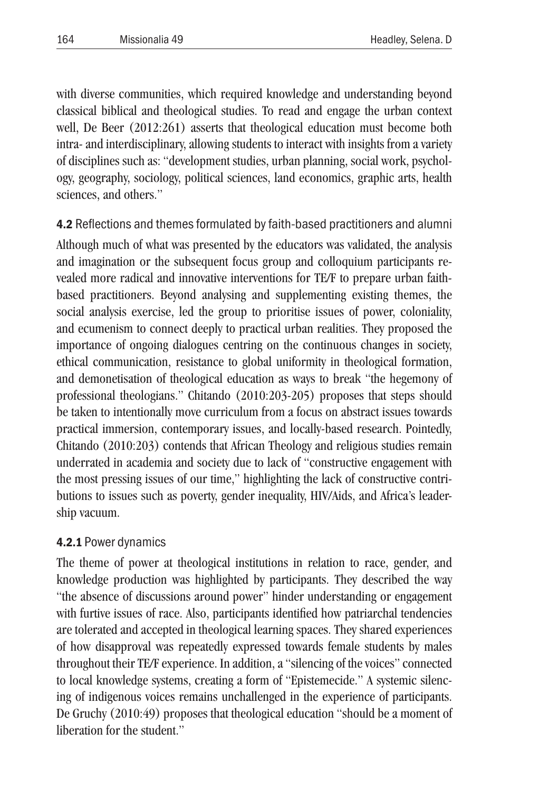with diverse communities, which required knowledge and understanding beyond classical biblical and theological studies. To read and engage the urban context well, De Beer (2012:261) asserts that theological education must become both intra- and interdisciplinary, allowing students to interact with insights from a variety of disciplines such as: "development studies, urban planning, social work, psychology, geography, sociology, political sciences, land economics, graphic arts, health sciences, and others."

4.2 Reflections and themes formulated by faith-based practitioners and alumni Although much of what was presented by the educators was validated, the analysis and imagination or the subsequent focus group and colloquium participants revealed more radical and innovative interventions for TE/F to prepare urban faithbased practitioners. Beyond analysing and supplementing existing themes, the social analysis exercise, led the group to prioritise issues of power, coloniality, and ecumenism to connect deeply to practical urban realities. They proposed the importance of ongoing dialogues centring on the continuous changes in society, ethical communication, resistance to global uniformity in theological formation, and demonetisation of theological education as ways to break "the hegemony of professional theologians." Chitando (2010:203-205) proposes that steps should be taken to intentionally move curriculum from a focus on abstract issues towards practical immersion, contemporary issues, and locally-based research. Pointedly, Chitando (2010:203) contends that African Theology and religious studies remain underrated in academia and society due to lack of "constructive engagement with the most pressing issues of our time," highlighting the lack of constructive contributions to issues such as poverty, gender inequality, HIV/Aids, and Africa's leadership vacuum.

### 4.2.1 Power dynamics

The theme of power at theological institutions in relation to race, gender, and knowledge production was highlighted by participants. They described the way "the absence of discussions around power" hinder understanding or engagement with furtive issues of race. Also, participants identified how patriarchal tendencies are tolerated and accepted in theological learning spaces. They shared experiences of how disapproval was repeatedly expressed towards female students by males throughout their TE/F experience. In addition, a "silencing of the voices" connected to local knowledge systems, creating a form of "Epistemecide." A systemic silencing of indigenous voices remains unchallenged in the experience of participants. De Gruchy (2010:49) proposes that theological education "should be a moment of liberation for the student."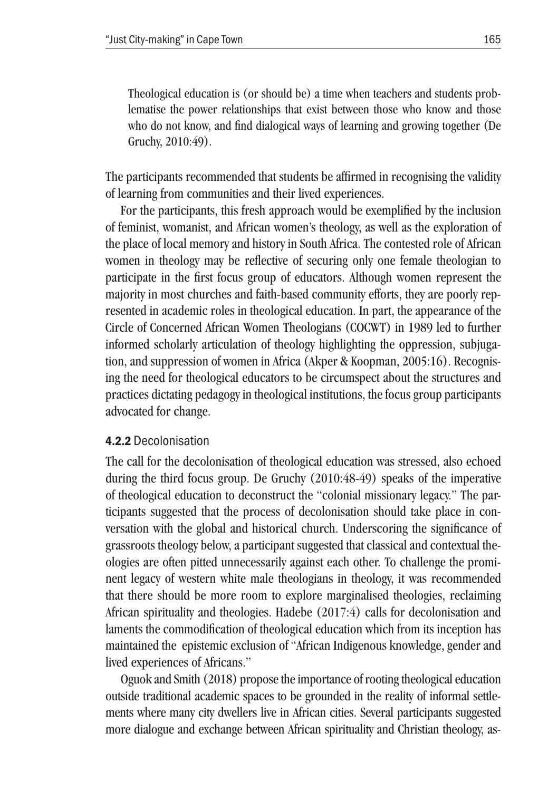Theological education is (or should be) a time when teachers and students problematise the power relationships that exist between those who know and those who do not know, and find dialogical ways of learning and growing together (De Gruchy, 2010:49).

The participants recommended that students be affirmed in recognising the validity of learning from communities and their lived experiences.

For the participants, this fresh approach would be exemplified by the inclusion of feminist, womanist, and African women's theology, as well as the exploration of the place of local memory and history in South Africa. The contested role of African women in theology may be reflective of securing only one female theologian to participate in the first focus group of educators. Although women represent the majority in most churches and faith-based community efforts, they are poorly represented in academic roles in theological education. In part, the appearance of the Circle of Concerned African Women Theologians (COCWT) in 1989 led to further informed scholarly articulation of theology highlighting the oppression, subjugation, and suppression of women in Africa (Akper & Koopman, 2005:16). Recognising the need for theological educators to be circumspect about the structures and practices dictating pedagogy in theological institutions, the focus group participants advocated for change.

#### 4.2.2 Decolonisation

The call for the decolonisation of theological education was stressed, also echoed during the third focus group. De Gruchy (2010:48-49) speaks of the imperative of theological education to deconstruct the "colonial missionary legacy." The participants suggested that the process of decolonisation should take place in conversation with the global and historical church. Underscoring the significance of grassroots theology below, a participant suggested that classical and contextual theologies are often pitted unnecessarily against each other. To challenge the prominent legacy of western white male theologians in theology, it was recommended that there should be more room to explore marginalised theologies, reclaiming African spirituality and theologies. Hadebe (2017:4) calls for decolonisation and laments the commodification of theological education which from its inception has maintained the epistemic exclusion of "African Indigenous knowledge, gender and lived experiences of Africans."

Oguok and Smith (2018) propose the importance of rooting theological education outside traditional academic spaces to be grounded in the reality of informal settlements where many city dwellers live in African cities. Several participants suggested more dialogue and exchange between African spirituality and Christian theology, as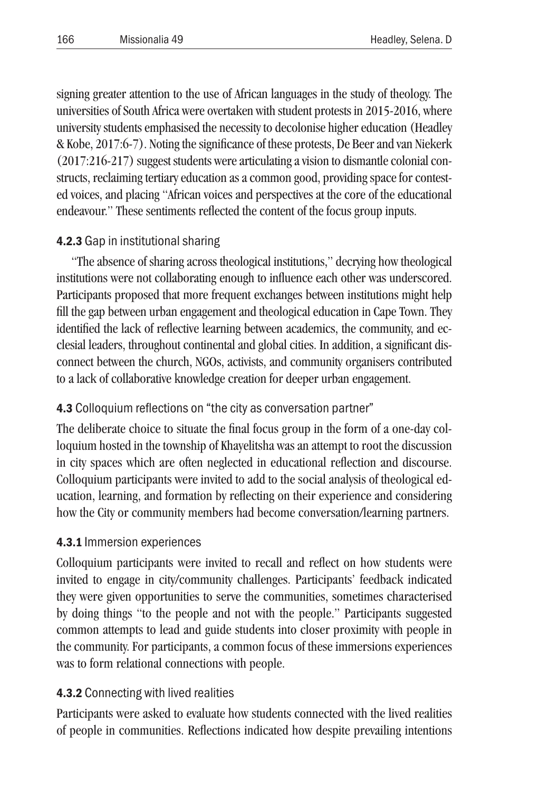signing greater attention to the use of African languages in the study of theology. The universities of South Africa were overtaken with student protests in 2015-2016, where university students emphasised the necessity to decolonise higher education (Headley & Kobe, 2017:6-7). Noting the significance of these protests, De Beer and van Niekerk (2017:216-217) suggest students were articulating a vision to dismantle colonial constructs, reclaiming tertiary education as a common good, providing space for contested voices, and placing "African voices and perspectives at the core of the educational endeavour." These sentiments reflected the content of the focus group inputs.

# 4.2.3 Gap in institutional sharing

"The absence of sharing across theological institutions," decrying how theological institutions were not collaborating enough to influence each other was underscored. Participants proposed that more frequent exchanges between institutions might help fill the gap between urban engagement and theological education in Cape Town. They identified the lack of reflective learning between academics, the community, and ecclesial leaders, throughout continental and global cities. In addition, a significant disconnect between the church, NGOs, activists, and community organisers contributed to a lack of collaborative knowledge creation for deeper urban engagement.

# 4.3 Colloquium reflections on "the city as conversation partner"

The deliberate choice to situate the final focus group in the form of a one-day colloquium hosted in the township of Khayelitsha was an attempt to root the discussion in city spaces which are often neglected in educational reflection and discourse. Colloquium participants were invited to add to the social analysis of theological education, learning, and formation by reflecting on their experience and considering how the City or community members had become conversation/learning partners.

# 4.3.1 Immersion experiences

Colloquium participants were invited to recall and reflect on how students were invited to engage in city/community challenges. Participants' feedback indicated they were given opportunities to serve the communities, sometimes characterised by doing things "to the people and not with the people." Participants suggested common attempts to lead and guide students into closer proximity with people in the community. For participants, a common focus of these immersions experiences was to form relational connections with people.

# 4.3.2 Connecting with lived realities

Participants were asked to evaluate how students connected with the lived realities of people in communities. Reflections indicated how despite prevailing intentions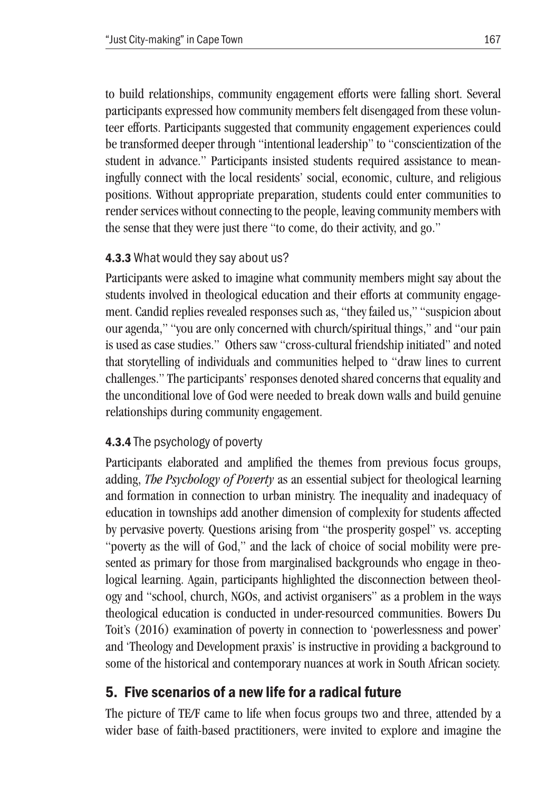to build relationships, community engagement efforts were falling short. Several participants expressed how community members felt disengaged from these volunteer efforts. Participants suggested that community engagement experiences could be transformed deeper through "intentional leadership" to "conscientization of the student in advance." Participants insisted students required assistance to meaningfully connect with the local residents' social, economic, culture, and religious positions. Without appropriate preparation, students could enter communities to render services without connecting to the people, leaving community members with the sense that they were just there "to come, do their activity, and go."

# 4.3.3 What would they say about us?

Participants were asked to imagine what community members might say about the students involved in theological education and their efforts at community engagement. Candid replies revealed responses such as, "they failed us," "suspicion about our agenda," "you are only concerned with church/spiritual things," and "our pain is used as case studies." Others saw "cross-cultural friendship initiated" and noted that storytelling of individuals and communities helped to "draw lines to current challenges." The participants' responses denoted shared concerns that equality and the unconditional love of God were needed to break down walls and build genuine relationships during community engagement.

# 4.3.4 The psychology of poverty

Participants elaborated and amplified the themes from previous focus groups, adding, *The Psychology of Poverty* as an essential subject for theological learning and formation in connection to urban ministry. The inequality and inadequacy of education in townships add another dimension of complexity for students affected by pervasive poverty. Questions arising from "the prosperity gospel" vs. accepting "poverty as the will of God," and the lack of choice of social mobility were presented as primary for those from marginalised backgrounds who engage in theological learning. Again, participants highlighted the disconnection between theology and "school, church, NGOs, and activist organisers" as a problem in the ways theological education is conducted in under-resourced communities. Bowers Du Toit's (2016) examination of poverty in connection to 'powerlessness and power' and 'Theology and Development praxis' is instructive in providing a background to some of the historical and contemporary nuances at work in South African society.

# 5. Five scenarios of a new life for a radical future

The picture of TE/F came to life when focus groups two and three, attended by a wider base of faith-based practitioners, were invited to explore and imagine the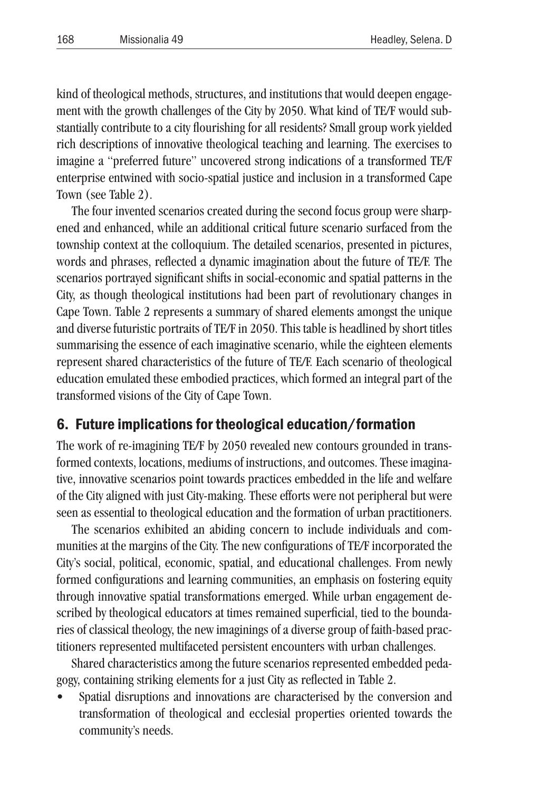kind of theological methods, structures, and institutions that would deepen engagement with the growth challenges of the City by 2050. What kind of TE/F would substantially contribute to a city flourishing for all residents? Small group work yielded rich descriptions of innovative theological teaching and learning. The exercises to imagine a "preferred future" uncovered strong indications of a transformed TE/F enterprise entwined with socio-spatial justice and inclusion in a transformed Cape Town (see Table 2).

The four invented scenarios created during the second focus group were sharpened and enhanced, while an additional critical future scenario surfaced from the township context at the colloquium. The detailed scenarios, presented in pictures, words and phrases, reflected a dynamic imagination about the future of TE/F. The scenarios portrayed significant shifts in social-economic and spatial patterns in the City, as though theological institutions had been part of revolutionary changes in Cape Town. Table 2 represents a summary of shared elements amongst the unique and diverse futuristic portraits of TE/F in 2050. This table is headlined by short titles summarising the essence of each imaginative scenario, while the eighteen elements represent shared characteristics of the future of TE/F. Each scenario of theological education emulated these embodied practices, which formed an integral part of the transformed visions of the City of Cape Town.

### 6. Future implications for theological education/formation

The work of re-imagining TE/F by 2050 revealed new contours grounded in transformed contexts, locations, mediums of instructions, and outcomes. These imaginative, innovative scenarios point towards practices embedded in the life and welfare of the City aligned with just City-making. These efforts were not peripheral but were seen as essential to theological education and the formation of urban practitioners.

The scenarios exhibited an abiding concern to include individuals and communities at the margins of the City. The new configurations of TE/F incorporated the City's social, political, economic, spatial, and educational challenges. From newly formed configurations and learning communities, an emphasis on fostering equity through innovative spatial transformations emerged. While urban engagement described by theological educators at times remained superficial, tied to the boundaries of classical theology, the new imaginings of a diverse group of faith-based practitioners represented multifaceted persistent encounters with urban challenges.

Shared characteristics among the future scenarios represented embedded pedagogy, containing striking elements for a just City as reflected in Table 2.

• Spatial disruptions and innovations are characterised by the conversion and transformation of theological and ecclesial properties oriented towards the community's needs.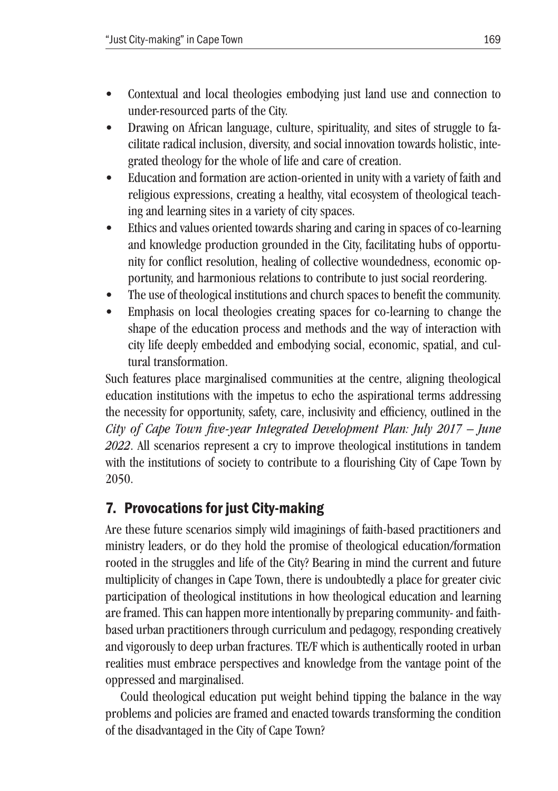- Contextual and local theologies embodying just land use and connection to under-resourced parts of the City.
- Drawing on African language, culture, spirituality, and sites of struggle to facilitate radical inclusion, diversity, and social innovation towards holistic, integrated theology for the whole of life and care of creation.
- Education and formation are action-oriented in unity with a variety of faith and religious expressions, creating a healthy, vital ecosystem of theological teaching and learning sites in a variety of city spaces.
- Ethics and values oriented towards sharing and caring in spaces of co-learning and knowledge production grounded in the City, facilitating hubs of opportunity for conflict resolution, healing of collective woundedness, economic opportunity, and harmonious relations to contribute to just social reordering.
- The use of theological institutions and church spaces to benefit the community.
- Emphasis on local theologies creating spaces for co-learning to change the shape of the education process and methods and the way of interaction with city life deeply embedded and embodying social, economic, spatial, and cultural transformation.

Such features place marginalised communities at the centre, aligning theological education institutions with the impetus to echo the aspirational terms addressing the necessity for opportunity, safety, care, inclusivity and efficiency, outlined in the *City of Cape Town five-year Integrated Development Plan: July 2017 – June 2022*. All scenarios represent a cry to improve theological institutions in tandem with the institutions of society to contribute to a flourishing City of Cape Town by 2050.

# 7. Provocations for just City-making

Are these future scenarios simply wild imaginings of faith-based practitioners and ministry leaders, or do they hold the promise of theological education/formation rooted in the struggles and life of the City? Bearing in mind the current and future multiplicity of changes in Cape Town, there is undoubtedly a place for greater civic participation of theological institutions in how theological education and learning are framed. This can happen more intentionally by preparing community- and faithbased urban practitioners through curriculum and pedagogy, responding creatively and vigorously to deep urban fractures. TE/F which is authentically rooted in urban realities must embrace perspectives and knowledge from the vantage point of the oppressed and marginalised.

Could theological education put weight behind tipping the balance in the way problems and policies are framed and enacted towards transforming the condition of the disadvantaged in the City of Cape Town?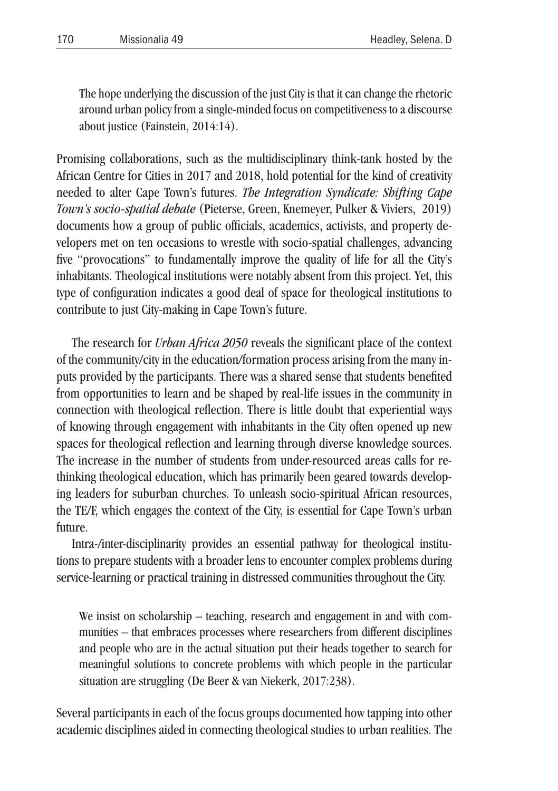The hope underlying the discussion of the just City is that it can change the rhetoric around urban policy from a single-minded focus on competitiveness to a discourse about justice (Fainstein, 2014:14).

Promising collaborations, such as the multidisciplinary think-tank hosted by the African Centre for Cities in 2017 and 2018, hold potential for the kind of creativity needed to alter Cape Town's futures. *The Integration Syndicate: Shifting Cape Town's socio-spatial debate* (Pieterse, Green, Knemeyer, Pulker & Viviers, 2019) documents how a group of public officials, academics, activists, and property developers met on ten occasions to wrestle with socio-spatial challenges, advancing five "provocations" to fundamentally improve the quality of life for all the City's inhabitants. Theological institutions were notably absent from this project. Yet, this type of configuration indicates a good deal of space for theological institutions to contribute to just City-making in Cape Town's future.

The research for *Urban Africa 2050* reveals the significant place of the context of the community/city in the education/formation process arising from the many inputs provided by the participants. There was a shared sense that students benefited from opportunities to learn and be shaped by real-life issues in the community in connection with theological reflection. There is little doubt that experiential ways of knowing through engagement with inhabitants in the City often opened up new spaces for theological reflection and learning through diverse knowledge sources. The increase in the number of students from under-resourced areas calls for rethinking theological education, which has primarily been geared towards developing leaders for suburban churches. To unleash socio-spiritual African resources, the TE/F, which engages the context of the City, is essential for Cape Town's urban future.

Intra-/inter-disciplinarity provides an essential pathway for theological institutions to prepare students with a broader lens to encounter complex problems during service-learning or practical training in distressed communities throughout the City.

We insist on scholarship – teaching, research and engagement in and with communities – that embraces processes where researchers from different disciplines and people who are in the actual situation put their heads together to search for meaningful solutions to concrete problems with which people in the particular situation are struggling (De Beer & van Niekerk, 2017:238).

Several participants in each of the focus groups documented how tapping into other academic disciplines aided in connecting theological studies to urban realities. The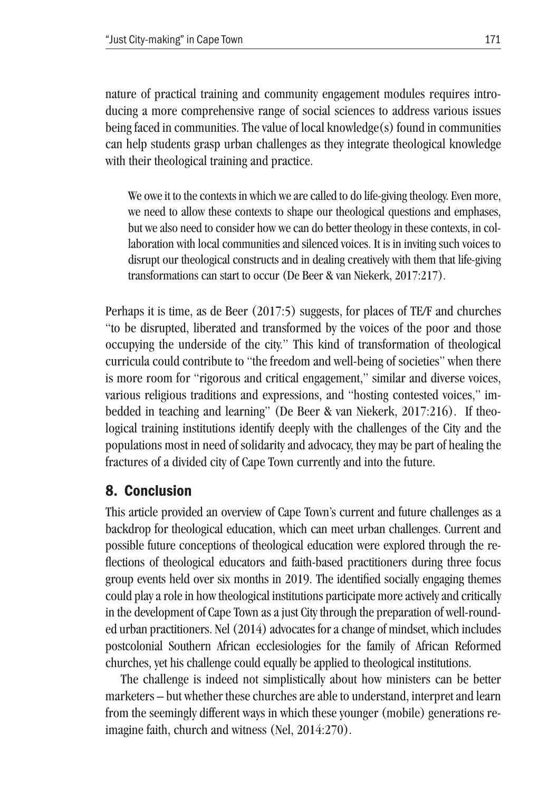nature of practical training and community engagement modules requires introducing a more comprehensive range of social sciences to address various issues being faced in communities. The value of local knowledge(s) found in communities can help students grasp urban challenges as they integrate theological knowledge with their theological training and practice.

We owe it to the contexts in which we are called to do life-giving theology. Even more, we need to allow these contexts to shape our theological questions and emphases, but we also need to consider how we can do better theology in these contexts, in collaboration with local communities and silenced voices. It is in inviting such voices to disrupt our theological constructs and in dealing creatively with them that life-giving transformations can start to occur (De Beer & van Niekerk, 2017:217).

Perhaps it is time, as de Beer (2017:5) suggests, for places of TE/F and churches "to be disrupted, liberated and transformed by the voices of the poor and those occupying the underside of the city." This kind of transformation of theological curricula could contribute to "the freedom and well-being of societies" when there is more room for "rigorous and critical engagement," similar and diverse voices, various religious traditions and expressions, and "hosting contested voices," imbedded in teaching and learning" (De Beer & van Niekerk, 2017:216). If theological training institutions identify deeply with the challenges of the City and the populations most in need of solidarity and advocacy, they may be part of healing the fractures of a divided city of Cape Town currently and into the future.

# 8. Conclusion

This article provided an overview of Cape Town's current and future challenges as a backdrop for theological education, which can meet urban challenges. Current and possible future conceptions of theological education were explored through the reflections of theological educators and faith-based practitioners during three focus group events held over six months in 2019. The identified socially engaging themes could play a role in how theological institutions participate more actively and critically in the development of Cape Town as a just City through the preparation of well-rounded urban practitioners. Nel (2014) advocates for a change of mindset, which includes postcolonial Southern African ecclesiologies for the family of African Reformed churches, yet his challenge could equally be applied to theological institutions.

The challenge is indeed not simplistically about how ministers can be better marketers – but whether these churches are able to understand, interpret and learn from the seemingly different ways in which these younger (mobile) generations reimagine faith, church and witness (Nel, 2014:270).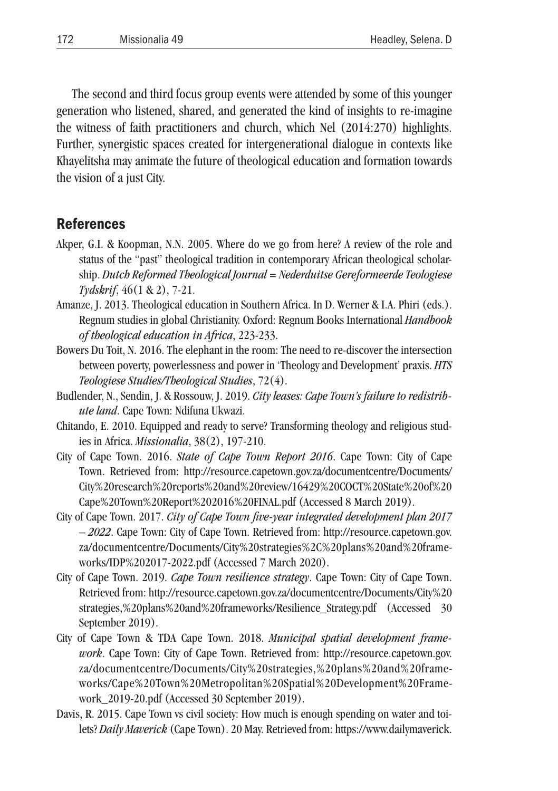The second and third focus group events were attended by some of this younger generation who listened, shared, and generated the kind of insights to re-imagine the witness of faith practitioners and church, which Nel (2014:270) highlights. Further, synergistic spaces created for intergenerational dialogue in contexts like Khayelitsha may animate the future of theological education and formation towards the vision of a just City.

### References

- Akper, G.I. & Koopman, N.N. 2005. Where do we go from here? A review of the role and status of the "past" theological tradition in contemporary African theological scholarship. *Dutch Reformed Theological Journal = Nederduitse Gereformeerde Teologiese Tydskrif*, 46(1 & 2), 7-21.
- Amanze, J. 2013. Theological education in Southern Africa. In D. Werner & I.A. Phiri (eds.). Regnum studies in global Christianity. Oxford: Regnum Books International *Handbook of theological education in Africa*, 223-233.
- Bowers Du Toit, N. 2016. The elephant in the room: The need to re-discover the intersection between poverty, powerlessness and power in 'Theology and Development' praxis. *HTS Teologiese Studies/Theological Studies*, 72(4).
- Budlender, N., Sendin, J. & Rossouw, J. 2019. *City leases: Cape Town's failure to redistribute land*. Cape Town: Ndifuna Ukwazi.
- Chitando, E. 2010. Equipped and ready to serve? Transforming theology and religious studies in Africa. *Missionalia*, 38(2), 197-210.
- City of Cape Town. 2016. *State of Cape Town Report 2016*. Cape Town: City of Cape Town. Retrieved from: http://resource.capetown.gov.za/documentcentre/Documents/ City%20research%20reports%20and%20review/16429%20COCT%20State%20of%20 Cape%20Town%20Report%202016%20FINAL.pdf (Accessed 8 March 2019).
- City of Cape Town. 2017. *City of Cape Town five-year integrated development plan 2017 – 2022*. Cape Town: City of Cape Town. Retrieved from: http://resource.capetown.gov. za/documentcentre/Documents/City%20strategies%2C%20plans%20and%20frameworks/IDP%202017-2022.pdf (Accessed 7 March 2020).
- City of Cape Town. 2019. *Cape Town resilience strategy*. Cape Town: City of Cape Town. Retrieved from: http://resource.capetown.gov.za/documentcentre/Documents/City%20 strategies,%20plans%20and%20frameworks/Resilience\_Strategy.pdf (Accessed 30 September 2019).
- City of Cape Town & TDA Cape Town. 2018. *Municipal spatial development framework*. Cape Town: City of Cape Town. Retrieved from: http://resource.capetown.gov. za/documentcentre/Documents/City%20strategies,%20plans%20and%20frameworks/Cape%20Town%20Metropolitan%20Spatial%20Development%20Framework\_2019-20.pdf (Accessed 30 September 2019).
- Davis, R. 2015. Cape Town vs civil society: How much is enough spending on water and toilets? *Daily Maverick* (Cape Town). 20 May. Retrieved from: https://www.dailymaverick.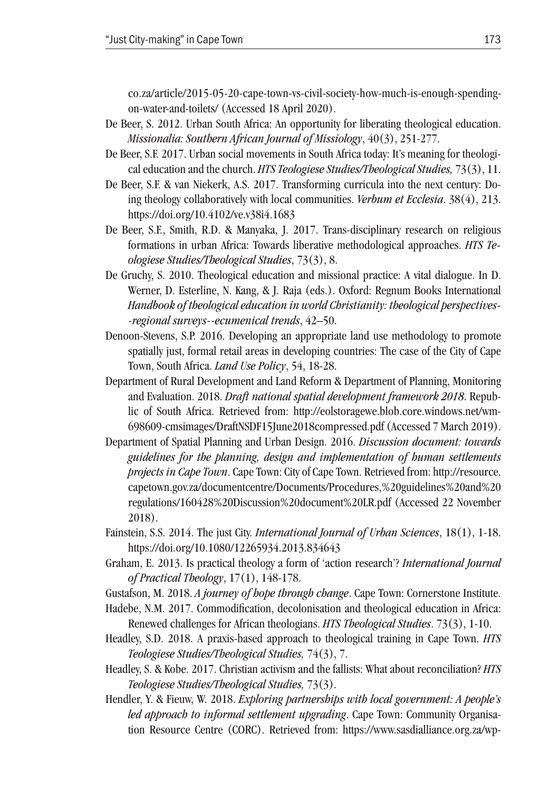co.za/article/2015-05-20-cape-town-vs-civil-society-how-much-is-enough-spendingon-water-and-toilets/ (Accessed 18 April 2020).

- De Beer, S. 2012. Urban South Africa: An opportunity for liberating theological education. *Missionalia: Southern African Journal of Missiology*, 40(3), 251-277.
- De Beer, S.F. 2017. Urban social movements in South Africa today: It's meaning for theological education and the church. *HTS Teologiese Studies/Theological Studies,* 73(3), 11.
- De Beer, S.F. & van Niekerk, A.S. 2017. Transforming curricula into the next century: Doing theology collaboratively with local communities. *Verbum et Ecclesia*. 38(4), 213. https://doi.org/10.4102/ve.v38i4.1683
- De Beer, S.F., Smith, R.D. & Manyaka, J. 2017. Trans-disciplinary research on religious formations in urban Africa: Towards liberative methodological approaches. *HTS Teologiese Studies/Theological Studies*, 73(3), 8.
- De Gruchy, S. 2010. Theological education and missional practice: A vital dialogue. In D. Werner, D. Esterline, N. Kang, & J. Raja (eds.). Oxford: Regnum Books International *Handbook of theological education in world Christianity: theological perspectives- -regional surveys--ecumenical trends*, 42–50.
- Denoon-Stevens, S.P. 2016. Developing an appropriate land use methodology to promote spatially just, formal retail areas in developing countries: The case of the City of Cape Town, South Africa. *Land Use Policy*, 54, 18-28.
- Department of Rural Development and Land Reform & Department of Planning, Monitoring and Evaluation. 2018. *Draft national spatial development framework 2018*. Republic of South Africa. Retrieved from: http://eolstoragewe.blob.core.windows.net/wm-698609-cmsimages/DraftNSDF15June2018compressed.pdf (Accessed 7 March 2019).
- Department of Spatial Planning and Urban Design. 2016. *Discussion document: towards guidelines for the planning, design and implementation of human settlements projects in Cape Town*. Cape Town: City of Cape Town. Retrieved from: http://resource. capetown.gov.za/documentcentre/Documents/Procedures,%20guidelines%20and%20 regulations/160428%20Discussion%20document%20LR.pdf (Accessed 22 November 2018).
- Fainstein, S.S. 2014. The just City. *International Journal of Urban Sciences*, 18(1), 1-18. https://doi.org/10.1080/12265934.2013.834643
- Graham, E. 2013. Is practical theology a form of 'action research'? *International Journal of Practical Theology*, 17(1), 148-178.
- Gustafson, M. 2018. *A journey of hope through change*. Cape Town: Cornerstone Institute.
- Hadebe, N.M. 2017. Commodification, decolonisation and theological education in Africa: Renewed challenges for African theologians. *HTS Theological Studies*. 73(3), 1-10.
- Headley, S.D. 2018. A praxis-based approach to theological training in Cape Town. *HTS Teologiese Studies/Theological Studies,* 74(3), 7.
- Headley, S. & Kobe. 2017. Christian activism and the fallists: What about reconciliation? *HTS Teologiese Studies/Theological Studies,* 73(3).
- Hendler, Y. & Fieuw, W. 2018. *Exploring partnerships with local government: A people's led approach to informal settlement upgrading*. Cape Town: Community Organisation Resource Centre (CORC). Retrieved from: https://www.sasdialliance.org.za/wp-